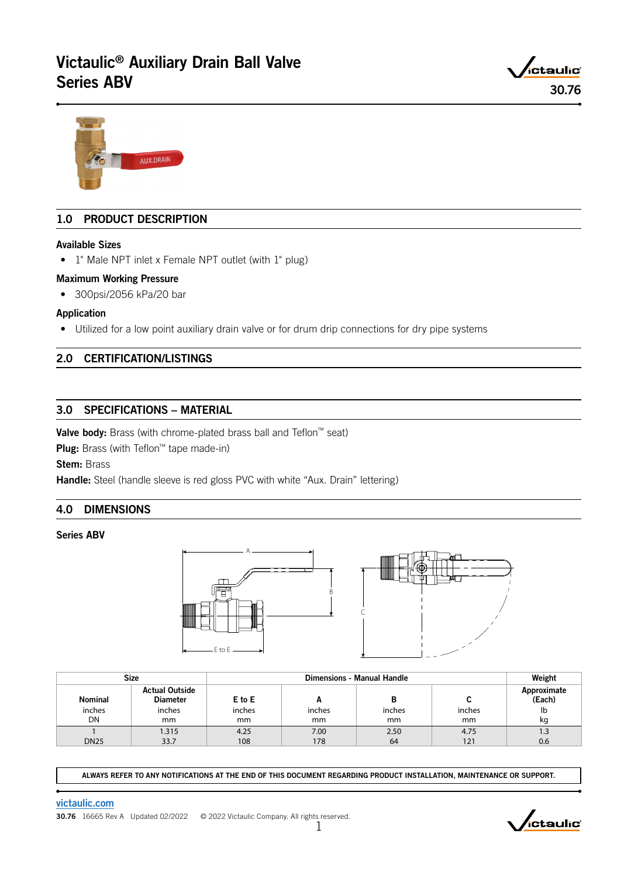# Victaulic® Auxiliary Drain Ball Valve Series ABV 30.76





# 1.0 PRODUCT DESCRIPTION

### Available Sizes

• 1" Male NPT inlet x Female NPT outlet (with 1" plug)

# Maximum Working Pressure

• 300psi/2056 kPa/20 bar

## Application

• Utilized for a low point auxiliary drain valve or for drum drip connections for dry pipe systems

# 2.0 CERTIFICATION/LISTINGS

# 3.0 SPECIFICATIONS – MATERIAL

Valve body: Brass (with chrome-plated brass ball and Teflon™ seat)

Plug: Brass (with Teflon™ tape made-in)

Stem: Brass

Handle: Steel (handle sleeve is red gloss PVC with white "Aux. Drain" lettering)

# 4.0 DIMENSIONS

# Series ABV





| <b>Size</b> |                                          | Dimensions - Manual Handle |               |        |        | Weight                |
|-------------|------------------------------------------|----------------------------|---------------|--------|--------|-----------------------|
| Nominal     | <b>Actual Outside</b><br><b>Diameter</b> | E to E                     | г             | в      |        | Approximate<br>(Each) |
| inches      | inches                                   | inches                     | inches        | inches | inches | lb                    |
| DN          | mm                                       | mm                         | <sub>mm</sub> | mm     | mm     | kq                    |
|             | 1.315                                    | 4.25                       | 7.00          | 2.50   | 4.75   | 1.3                   |
| <b>DN25</b> | 33.7                                     | 108                        | 178           | 64     | 121    | 0.6                   |

ALWAYS REFER TO ANY NOTIFICATIONS AT THE END OF THIS DOCUMENT REGARDING PRODUCT INSTALLATION, MAINTENANCE OR SUPPORT.

[victaulic.com](http://www.victaulic.com) 30.76 16665 Rev A Updated 02/2022 © 2022 Victaulic Company. All rights reserved.